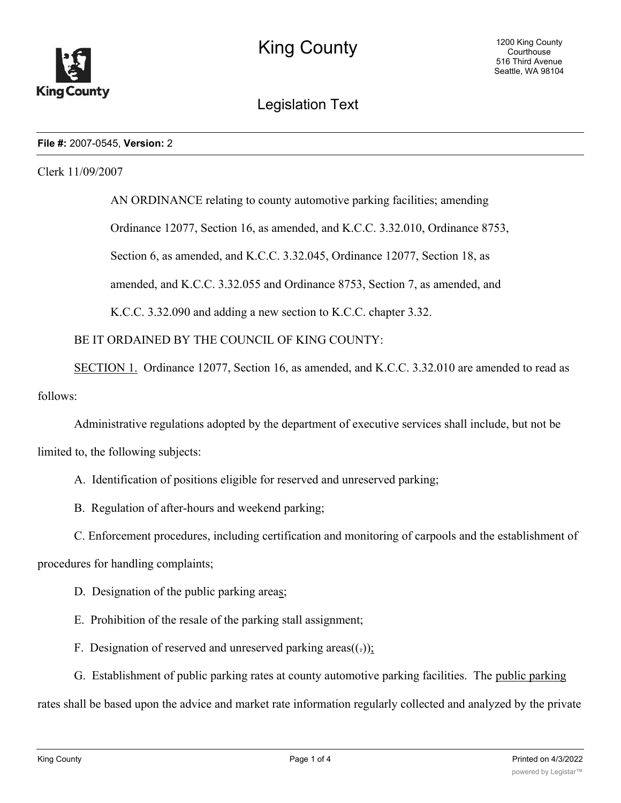

Legislation Text

## **File #:** 2007-0545, **Version:** 2

Clerk 11/09/2007

AN ORDINANCE relating to county automotive parking facilities; amending Ordinance 12077, Section 16, as amended, and K.C.C. 3.32.010, Ordinance 8753, Section 6, as amended, and K.C.C. 3.32.045, Ordinance 12077, Section 18, as amended, and K.C.C. 3.32.055 and Ordinance 8753, Section 7, as amended, and K.C.C. 3.32.090 and adding a new section to K.C.C. chapter 3.32.

BE IT ORDAINED BY THE COUNCIL OF KING COUNTY:

SECTION 1. Ordinance 12077, Section 16, as amended, and K.C.C. 3.32.010 are amended to read as follows:

Administrative regulations adopted by the department of executive services shall include, but not be limited to, the following subjects:

A. Identification of positions eligible for reserved and unreserved parking;

B. Regulation of after-hours and weekend parking;

C. Enforcement procedures, including certification and monitoring of carpools and the establishment of

procedures for handling complaints;

- D. Designation of the public parking areas;
- E. Prohibition of the resale of the parking stall assignment;
- F. Designation of reserved and unreserved parking areas $((.)$ ;
- G. Establishment of public parking rates at county automotive parking facilities. The public parking

rates shall be based upon the advice and market rate information regularly collected and analyzed by the private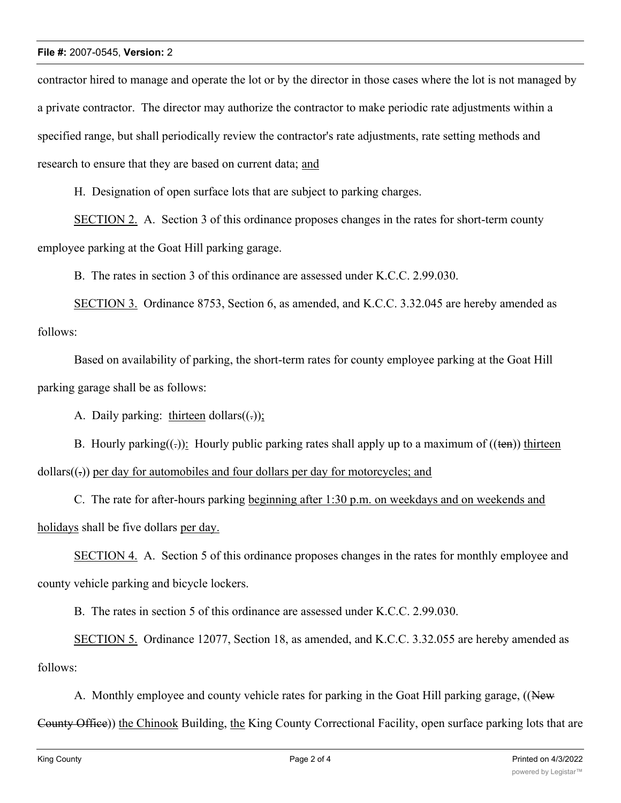## **File #:** 2007-0545, **Version:** 2

contractor hired to manage and operate the lot or by the director in those cases where the lot is not managed by a private contractor. The director may authorize the contractor to make periodic rate adjustments within a specified range, but shall periodically review the contractor's rate adjustments, rate setting methods and research to ensure that they are based on current data; and

H. Designation of open surface lots that are subject to parking charges.

SECTION 2. A. Section 3 of this ordinance proposes changes in the rates for short-term county employee parking at the Goat Hill parking garage.

B. The rates in section 3 of this ordinance are assessed under K.C.C. 2.99.030.

SECTION 3. Ordinance 8753, Section 6, as amended, and K.C.C. 3.32.045 are hereby amended as follows:

Based on availability of parking, the short-term rates for county employee parking at the Goat Hill parking garage shall be as follows:

A. Daily parking: thirteen dollars $((.)$ ;

B. Hourly parking( $\epsilon$ ): Hourly public parking rates shall apply up to a maximum of ( $(\epsilon \epsilon n)$ ) thirteen  $dollars((.))$  per day for automobiles and four dollars per day for motorcycles; and

C. The rate for after-hours parking beginning after 1:30 p.m. on weekdays and on weekends and holidays shall be five dollars per day.

SECTION 4. A. Section 5 of this ordinance proposes changes in the rates for monthly employee and county vehicle parking and bicycle lockers.

B. The rates in section 5 of this ordinance are assessed under K.C.C. 2.99.030.

SECTION 5. Ordinance 12077, Section 18, as amended, and K.C.C. 3.32.055 are hereby amended as follows:

A. Monthly employee and county vehicle rates for parking in the Goat Hill parking garage, ((New County Office)) the Chinook Building, the King County Correctional Facility, open surface parking lots that are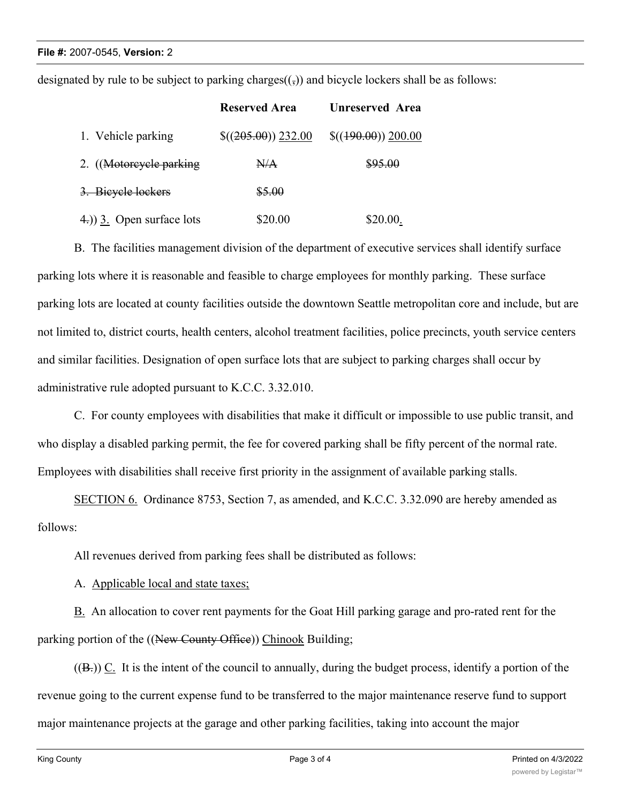designated by rule to be subject to parking charges $((\cdot))$  and bicycle lockers shall be as follows:

|                              | <b>Reserved Area</b>  | Unreserved Area    |
|------------------------------|-----------------------|--------------------|
| 1. Vehicle parking           | $\$((205.00)) 232.00$ | $$(490.00)$ 200.00 |
| 2. (Motorcycle parking       | N/A                   | \$95.00            |
| 3. Bieyele lockers           | \$5.00                |                    |
| $(4)$ ) 3. Open surface lots | \$20.00               | \$20.00.           |

B. The facilities management division of the department of executive services shall identify surface parking lots where it is reasonable and feasible to charge employees for monthly parking. These surface parking lots are located at county facilities outside the downtown Seattle metropolitan core and include, but are not limited to, district courts, health centers, alcohol treatment facilities, police precincts, youth service centers and similar facilities. Designation of open surface lots that are subject to parking charges shall occur by administrative rule adopted pursuant to K.C.C. 3.32.010.

C. For county employees with disabilities that make it difficult or impossible to use public transit, and who display a disabled parking permit, the fee for covered parking shall be fifty percent of the normal rate. Employees with disabilities shall receive first priority in the assignment of available parking stalls.

SECTION 6. Ordinance 8753, Section 7, as amended, and K.C.C. 3.32.090 are hereby amended as follows:

All revenues derived from parking fees shall be distributed as follows:

A. Applicable local and state taxes;

B. An allocation to cover rent payments for the Goat Hill parking garage and pro-rated rent for the parking portion of the ((New County Office)) Chinook Building;

 $((B))$  C. It is the intent of the council to annually, during the budget process, identify a portion of the revenue going to the current expense fund to be transferred to the major maintenance reserve fund to support major maintenance projects at the garage and other parking facilities, taking into account the major